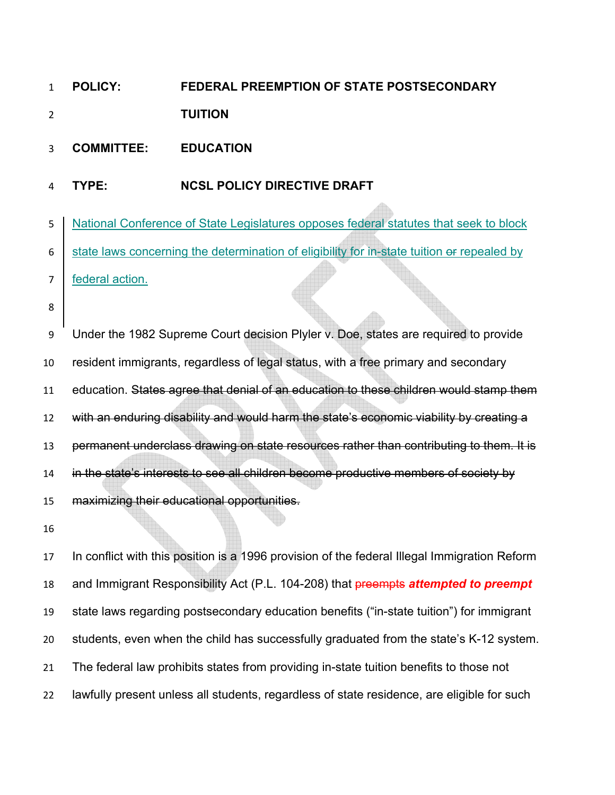## **POLICY: FEDERAL PREEMPTION OF STATE POSTSECONDARY TUITION**

## **COMMITTEE: EDUCATION**

## **TYPE: NCSL POLICY DIRECTIVE DRAFT**

National Conference of State Legislatures opposes federal statutes that seek to block  $6 \mid$  state laws concerning the determination of eligibility for in-state tuition or repealed by

federal action.

Under the 1982 Supreme Court decision Plyler v. Doe, states are required to provide resident immigrants, regardless of legal status, with a free primary and secondary education. States agree that denial of an education to these children would stamp them with an enduring disability and would harm the state's economic viability by creating a permanent underclass drawing on state resources rather than contributing to them. It is 14 in the state's interests to see all children become productive members of society by maximizing their educational opportunities.

In conflict with this position is a 1996 provision of the federal Illegal Immigration Reform and Immigrant Responsibility Act (P.L. 104-208) that preempts *attempted to preempt*  state laws regarding postsecondary education benefits ("in-state tuition") for immigrant students, even when the child has successfully graduated from the state's K-12 system. The federal law prohibits states from providing in-state tuition benefits to those not lawfully present unless all students, regardless of state residence, are eligible for such